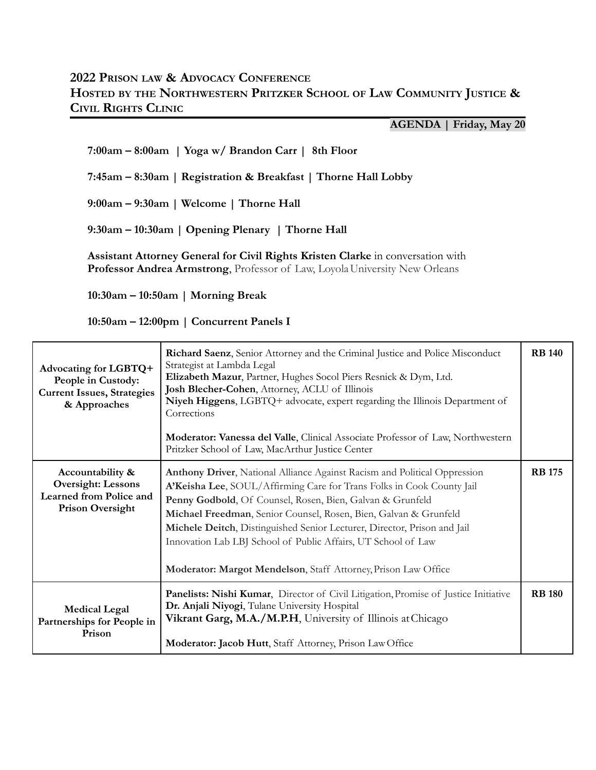## **2022 PRISON LAW & ADVOCACY CONFERENCE**

# **HOSTED BY THE NORTHWESTERN PRITZKER SCHOOL OF LAW COMMUNITY JUSTICE & CIVIL RIGHTS CLINIC**

**AGENDA | Friday, May 20**

**7:00am – 8:00am | Yoga w/ Brandon Carr | 8th Floor**

**7:45am – 8:30am | Registration & Breakfast | Thorne Hall Lobby**

**9:00am – 9:30am | Welcome | Thorne Hall**

**9:30am – 10:30am | Opening Plenary | Thorne Hall**

**Assistant Attorney General for Civil Rights Kristen Clarke** in conversation with Professor Andrea Armstrong, Professor of Law, Loyola University New Orleans

**10:30am – 10:50am | Morning Break**

**10:50am – 12:00pm | Concurrent Panels I**

| Advocating for LGBTQ+<br>People in Custody:<br><b>Current Issues, Strategies</b><br>& Approaches    | Richard Saenz, Senior Attorney and the Criminal Justice and Police Misconduct<br>Strategist at Lambda Legal<br>Elizabeth Mazur, Partner, Hughes Socol Piers Resnick & Dym, Ltd.<br>Josh Blecher-Cohen, Attorney, ACLU of Illinois<br>Niyeh Higgens, LGBTQ+ advocate, expert regarding the Illinois Department of<br>Corrections<br>Moderator: Vanessa del Valle, Clinical Associate Professor of Law, Northwestern<br>Pritzker School of Law, MacArthur Justice Center                                    | <b>RB</b> 140 |
|-----------------------------------------------------------------------------------------------------|-----------------------------------------------------------------------------------------------------------------------------------------------------------------------------------------------------------------------------------------------------------------------------------------------------------------------------------------------------------------------------------------------------------------------------------------------------------------------------------------------------------|---------------|
| Accountability &<br><b>Oversight: Lessons</b><br>Learned from Police and<br><b>Prison Oversight</b> | <b>Anthony Driver, National Alliance Against Racism and Political Oppression</b><br>A'Keisha Lee, SOUL/Affirming Care for Trans Folks in Cook County Jail<br>Penny Godbold, Of Counsel, Rosen, Bien, Galvan & Grunfeld<br>Michael Freedman, Senior Counsel, Rosen, Bien, Galvan & Grunfeld<br>Michele Deitch, Distinguished Senior Lecturer, Director, Prison and Jail<br>Innovation Lab LBJ School of Public Affairs, UT School of Law<br>Moderator: Margot Mendelson, Staff Attorney, Prison Law Office | <b>RB</b> 175 |
| <b>Medical Legal</b><br>Partnerships for People in<br>Prison                                        | Panelists: Nishi Kumar, Director of Civil Litigation, Promise of Justice Initiative<br>Dr. Anjali Niyogi, Tulane University Hospital<br>Vikrant Garg, M.A./M.P.H, University of Illinois at Chicago<br>Moderator: Jacob Hutt, Staff Attorney, Prison Law Office                                                                                                                                                                                                                                           | <b>RB</b> 180 |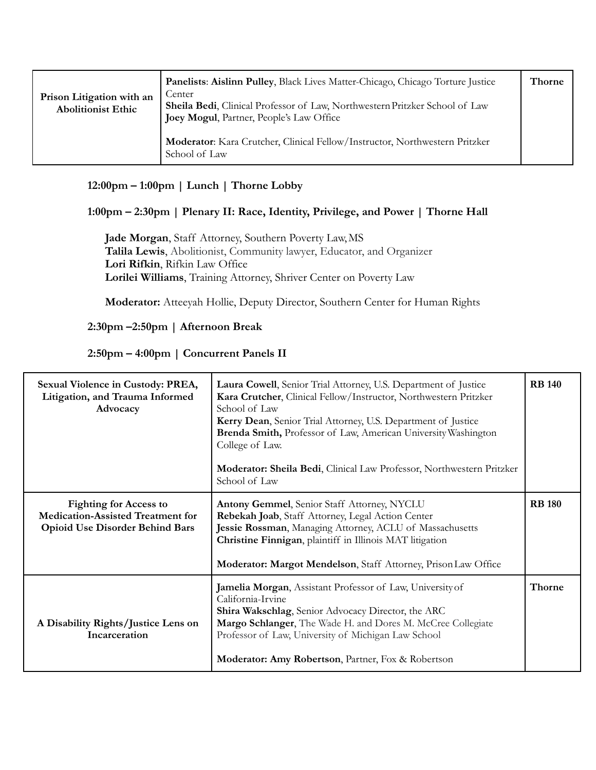| Prison Litigation with an<br><b>Abolitionist Ethic</b> | <b>Panelists: Aislinn Pulley, Black Lives Matter-Chicago, Chicago Torture Justice</b><br>Center<br>Sheila Bedi, Clinical Professor of Law, Northwestern Pritzker School of Law<br>Joey Mogul, Partner, People's Law Office | <b>Thorne</b> |
|--------------------------------------------------------|----------------------------------------------------------------------------------------------------------------------------------------------------------------------------------------------------------------------------|---------------|
|                                                        | Moderator: Kara Crutcher, Clinical Fellow/Instructor, Northwestern Pritzker<br>School of Law                                                                                                                               |               |

#### **12:00pm – 1:00pm | Lunch | Thorne Lobby**

## **1:00pm – 2:30pm | Plenary II: Race, Identity, Privilege, and Power | Thorne Hall**

**Jade Morgan**, Staff Attorney, Southern Poverty Law,MS **Talila Lewis**, Abolitionist, Community lawyer, Educator, and Organizer **Lori Rifkin**, Rifkin Law Office **Lorilei Williams**, Training Attorney, Shriver Center on Poverty Law

**Moderator:** Atteeyah Hollie, Deputy Director, Southern Center for Human Rights

### **2:30pm –2:50pm | Afternoon Break**

### **2:50pm – 4:00pm | Concurrent Panels II**

| Sexual Violence in Custody: PREA,<br>Litigation, and Trauma Informed<br>Advocacy                                    | Laura Cowell, Senior Trial Attorney, U.S. Department of Justice<br>Kara Crutcher, Clinical Fellow/Instructor, Northwestern Pritzker<br>School of Law<br>Kerry Dean, Senior Trial Attorney, U.S. Department of Justice<br>Brenda Smith, Professor of Law, American University Washington<br>College of Law.<br>Moderator: Sheila Bedi, Clinical Law Professor, Northwestern Pritzker<br>School of Law | <b>RB</b> 140 |
|---------------------------------------------------------------------------------------------------------------------|------------------------------------------------------------------------------------------------------------------------------------------------------------------------------------------------------------------------------------------------------------------------------------------------------------------------------------------------------------------------------------------------------|---------------|
| <b>Fighting for Access to</b><br><b>Medication-Assisted Treatment for</b><br><b>Opioid Use Disorder Behind Bars</b> | Antony Gemmel, Senior Staff Attorney, NYCLU<br>Rebekah Joab, Staff Attorney, Legal Action Center<br>Jessie Rossman, Managing Attorney, ACLU of Massachusetts<br>Christine Finnigan, plaintiff in Illinois MAT litigation<br>Moderator: Margot Mendelson, Staff Attorney, Prison Law Office                                                                                                           | <b>RB</b> 180 |
| A Disability Rights/Justice Lens on<br>Incarceration                                                                | Jamelia Morgan, Assistant Professor of Law, University of<br>California-Irvine<br>Shira Wakschlag, Senior Advocacy Director, the ARC<br>Margo Schlanger, The Wade H. and Dores M. McCree Collegiate<br>Professor of Law, University of Michigan Law School<br>Moderator: Amy Robertson, Partner, Fox & Robertson                                                                                     | <b>Thorne</b> |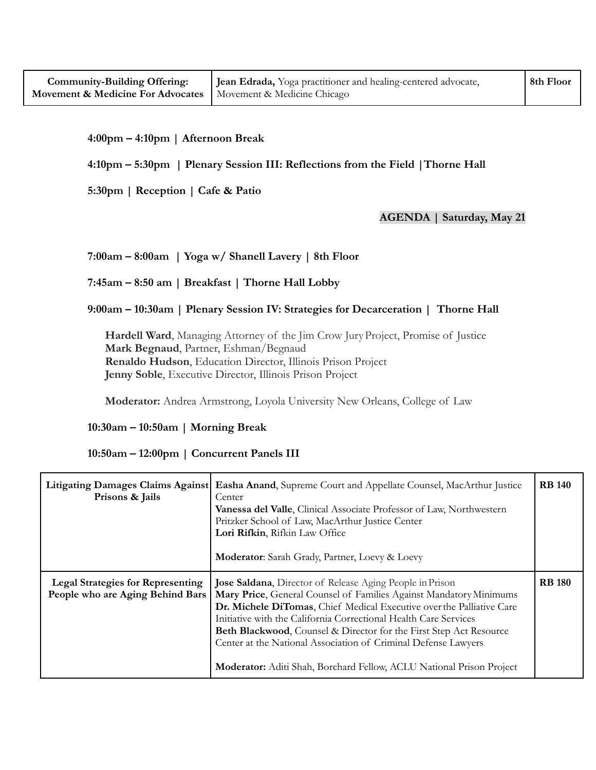**4:00pm – 4:10pm | Afternoon Break**

**4:10pm – 5:30pm | Plenary Session III: Reflections from the Field |Thorne Hall**

**5:30pm | Reception | Cafe & Patio**

### **AGENDA | Saturday, May 21**

### **7:00am – 8:00am | Yoga w/ Shanell Lavery | 8th Floor**

**7:45am – 8:50 am | Breakfast | Thorne Hall Lobby**

**9:00am – 10:30am | Plenary Session IV: Strategies for Decarceration | Thorne Hall**

**Hardell Ward**, Managing Attorney of the Jim Crow JuryProject, Promise of Justice **Mark Begnaud**, Partner, Eshman/Begnaud **Renaldo Hudson**, Education Director, Illinois Prison Project **Jenny Soble**, Executive Director, Illinois Prison Project

**Moderator:** Andrea Armstrong, Loyola University New Orleans, College of Law

#### **10:30am – 10:50am | Morning Break**

**10:50am – 12:00pm | Concurrent Panels III**

| Litigating Damages Claims Against<br>Prisons & Jails                         | Easha Anand, Supreme Court and Appellate Counsel, MacArthur Justice<br>Center<br>Vanessa del Valle, Clinical Associate Professor of Law, Northwestern<br>Pritzker School of Law, MacArthur Justice Center<br>Lori Rifkin, Rifkin Law Office<br>Moderator: Sarah Grady, Partner, Loevy & Loevy                                                                                                                                                                                                              | <b>RB</b> 140 |
|------------------------------------------------------------------------------|------------------------------------------------------------------------------------------------------------------------------------------------------------------------------------------------------------------------------------------------------------------------------------------------------------------------------------------------------------------------------------------------------------------------------------------------------------------------------------------------------------|---------------|
| <b>Legal Strategies for Representing</b><br>People who are Aging Behind Bars | <b>Jose Saldana</b> , Director of Release Aging People in Prison<br>Mary Price, General Counsel of Families Against Mandatory Minimums<br>Dr. Michele DiTomas, Chief Medical Executive over the Palliative Care<br>Initiative with the California Correctional Health Care Services<br>Beth Blackwood, Counsel & Director for the First Step Act Resource<br>Center at the National Association of Criminal Defense Lawyers<br><b>Moderator:</b> Aditi Shah, Borchard Fellow, ACLU National Prison Project | <b>RB</b> 180 |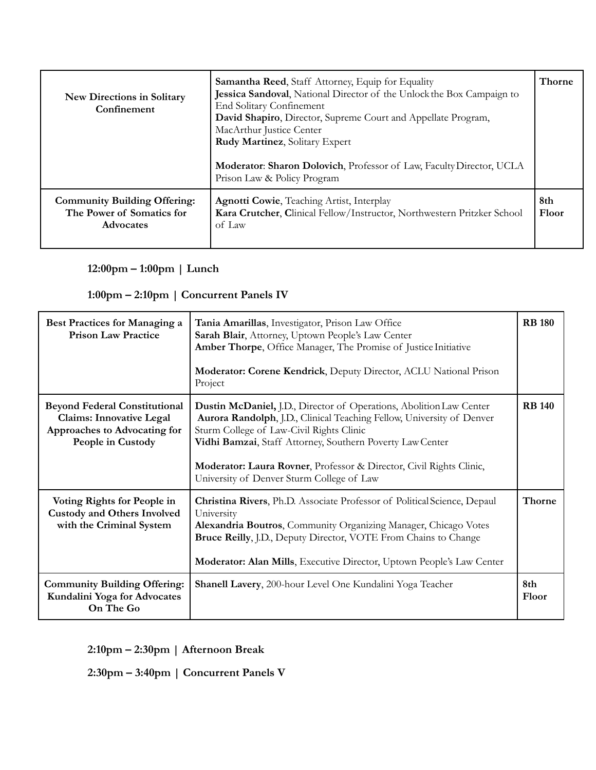| New Directions in Solitary<br>Confinement                                            | <b>Samantha Reed, Staff Attorney, Equip for Equality</b><br>Jessica Sandoval, National Director of the Unlock the Box Campaign to<br>End Solitary Confinement<br>David Shapiro, Director, Supreme Court and Appellate Program,<br>MacArthur Justice Center<br>Rudy Martinez, Solitary Expert<br>Moderator: Sharon Dolovich, Professor of Law, Faculty Director, UCLA<br>Prison Law & Policy Program | <b>Thorne</b> |
|--------------------------------------------------------------------------------------|-----------------------------------------------------------------------------------------------------------------------------------------------------------------------------------------------------------------------------------------------------------------------------------------------------------------------------------------------------------------------------------------------------|---------------|
| <b>Community Building Offering:</b><br>The Power of Somatics for<br><b>Advocates</b> | <b>Agnotti Cowie</b> , Teaching Artist, Interplay<br>Kara Crutcher, Clinical Fellow/Instructor, Northwestern Pritzker School<br>of Law                                                                                                                                                                                                                                                              | 8th<br>Floor  |

# **12:00pm – 1:00pm | Lunch**

## **1:00pm – 2:10pm | Concurrent Panels IV**

| <b>Best Practices for Managing a</b><br><b>Prison Law Practice</b>                                                           | Tania Amarillas, Investigator, Prison Law Office<br>Sarah Blair, Attorney, Uptown People's Law Center<br>Amber Thorpe, Office Manager, The Promise of Justice Initiative<br>Moderator: Corene Kendrick, Deputy Director, ACLU National Prison<br>Project                                                                                                                  | <b>RB</b> 180 |
|------------------------------------------------------------------------------------------------------------------------------|---------------------------------------------------------------------------------------------------------------------------------------------------------------------------------------------------------------------------------------------------------------------------------------------------------------------------------------------------------------------------|---------------|
| <b>Beyond Federal Constitutional</b><br><b>Claims: Innovative Legal</b><br>Approaches to Advocating for<br>People in Custody | Dustin McDaniel, J.D., Director of Operations, Abolition Law Center<br>Aurora Randolph, J.D., Clinical Teaching Fellow, University of Denver<br>Sturm College of Law-Civil Rights Clinic<br>Vidhi Bamzai, Staff Attorney, Southern Poverty Law Center<br>Moderator: Laura Rovner, Professor & Director, Civil Rights Clinic,<br>University of Denver Sturm College of Law | <b>RB</b> 140 |
| Voting Rights for People in<br><b>Custody and Others Involved</b><br>with the Criminal System                                | Christina Rivers, Ph.D. Associate Professor of Political Science, Depaul<br>University<br>Alexandria Boutros, Community Organizing Manager, Chicago Votes<br>Bruce Reilly, J.D., Deputy Director, VOTE From Chains to Change<br>Moderator: Alan Mills, Executive Director, Uptown People's Law Center                                                                     | <b>Thorne</b> |
| <b>Community Building Offering:</b><br>Kundalini Yoga for Advocates<br>On The Go                                             | Shanell Lavery, 200-hour Level One Kundalini Yoga Teacher                                                                                                                                                                                                                                                                                                                 | 8th<br>Floor  |

**2:10pm – 2:30pm | Afternoon Break**

**2:30pm – 3:40pm | Concurrent Panels V**